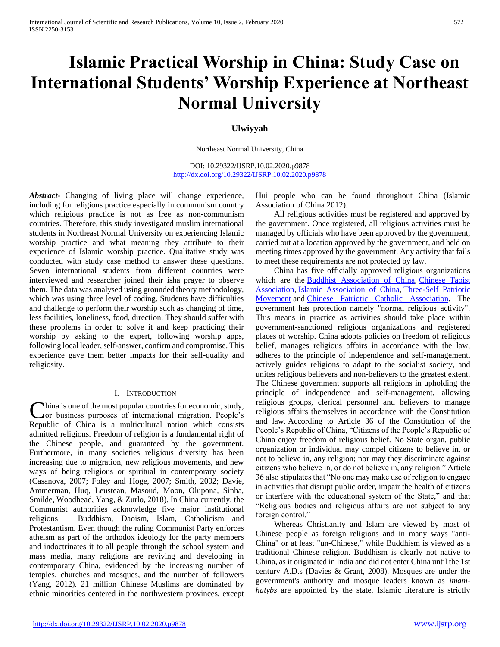# **Islamic Practical Worship in China: Study Case on International Students' Worship Experience at Northeast Normal University**

# **Ulwiyyah**

Northeast Normal University, China

DOI: 10.29322/IJSRP.10.02.2020.p9878 <http://dx.doi.org/10.29322/IJSRP.10.02.2020.p9878>

*Abstract***-** Changing of living place will change experience, including for religious practice especially in communism country which religious practice is not as free as non-communism countries. Therefore, this study investigated muslim international students in Northeast Normal University on experiencing Islamic worship practice and what meaning they attribute to their experience of Islamic worship practice. Qualitative study was conducted with study case method to answer these questions. Seven international students from different countries were interviewed and researcher joined their isha prayer to observe them. The data was analysed using grounded theory methodology, which was using three level of coding. Students have difficulties and challenge to perform their worship such as changing of time, less facilities, loneliness, food, direction. They should suffer with these problems in order to solve it and keep practicing their worship by asking to the expert, following worship apps, following local leader, self-answer, confirm and compromise. This experience gave them better impacts for their self-quality and religiosity.

#### I. INTRODUCTION

hina is one of the most popular countries for economic, study, China is one of the most popular countries for economic, study, or business purposes of international migration. People's Republic of China is a multicultural nation which consists admitted religions. Freedom of religion is a fundamental right of the Chinese people, and guaranteed by the government. Furthermore, in many societies religious diversity has been increasing due to migration, new religious movements, and new ways of being religious or spiritual in contemporary society (Casanova, 2007; Foley and Hoge, 2007; Smith, 2002; Davie, Ammerman, Huq, Leustean, Masoud, Moon, Olupona, Sinha, Smilde, Woodhead, Yang, & Zurlo, 2018). In China currently, the Communist authorities acknowledge five major institutional religions – Buddhism, Daoism, Islam, Catholicism and Protestantism. Even though the ruling Communist Party enforces atheism as part of the orthodox ideology for the party members and indoctrinates it to all people through the school system and mass media, many religions are reviving and developing in contemporary China, evidenced by the increasing number of temples, churches and mosques, and the number of followers (Yang, 2012). 21 million Chinese Muslims are dominated by ethnic minorities centered in the northwestern provinces, except

Hui people who can be found throughout China (Islamic Association of China 2012).

 All religious activities must be registered and approved by the government. Once registered, all religious activities must be managed by officials who have been approved by the government, carried out at a location approved by the government, and held on meeting times approved by the government. Any activity that fails to meet these requirements are not protected by law.

 China has five officially approved religious organizations which are the [Buddhist Association of China,](https://en.wikipedia.org/wiki/Buddhist_Association_of_China) Chinese Taoist [Association,](https://en.wikipedia.org/wiki/Chinese_Taoist_Association) [Islamic Association of China,](https://en.wikipedia.org/wiki/Islamic_Association_of_China) [Three-Self Patriotic](https://en.wikipedia.org/wiki/Three-Self_Patriotic_Movement)  [Movement](https://en.wikipedia.org/wiki/Three-Self_Patriotic_Movement) and [Chinese Patriotic Catholic Association.](https://en.wikipedia.org/wiki/Chinese_Patriotic_Catholic_Association) The government has protection namely "normal religious activity". This means in practice as activities should take place within government-sanctioned religious organizations and registered places of worship. China adopts policies on freedom of religious belief, manages religious affairs in accordance with the law, adheres to the principle of independence and self-management, actively guides religions to adapt to the socialist society, and unites religious believers and non-believers to the greatest extent. The Chinese government supports all religions in upholding the principle of independence and self-management, allowing religious groups, clerical personnel and believers to manage religious affairs themselves in accordance with the Constitution and law. According to Article 36 of the Constitution of the People's Republic of China, "Citizens of the People's Republic of China enjoy freedom of religious belief. No State organ, public organization or individual may compel citizens to believe in, or not to believe in, any religion; nor may they discriminate against citizens who believe in, or do not believe in, any religion." Article 36 also stipulates that "No one may make use of religion to engage in activities that disrupt public order, impair the health of citizens or interfere with the educational system of the State," and that "Religious bodies and religious affairs are not subject to any foreign control."

 Whereas Christianity and Islam are viewed by most of Chinese people as foreign religions and in many ways "anti-China" or at least "un-Chinese," while Buddhism is viewed as a traditional Chinese religion. Buddhism is clearly not native to China, as it originated in India and did not enter China until the 1st century A.D.s (Davies & Grant, 2008). Mosques are under the government's authority and mosque leaders known as *imamhatybs* are appointed by the state. Islamic literature is strictly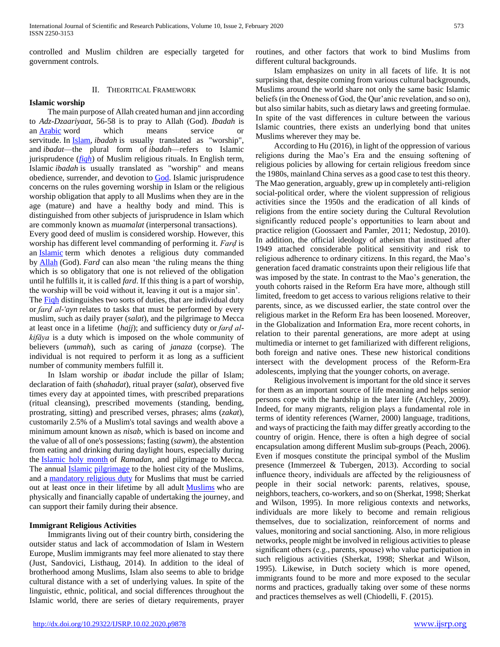controlled and Muslim children are especially targeted for government controls.

## II. THEORITICAL FRAMEWORK

#### **Islamic worship**

 The main purpose of Allah created human and jinn according to *Adz-Dzaariyaat*, 56-58 is to pray to Allah (God). *Ibadah* is an [Arabic](https://en.wikipedia.org/wiki/Arabic) word which means service or servitude. In [Islam,](https://en.wikipedia.org/wiki/Islam) *ibadah* is usually translated as "worship", and *ibadat*—the plural form of *ibadah*—refers to Islamic jurisprudence (*[fiqh](https://en.wikipedia.org/wiki/Fiqh)*) of Muslim religious rituals. In English term, Islamic *ibadah* is usually translated as "worship" and means obedience, surrender, and devotion to [God.](https://en.wikipedia.org/wiki/God_in_Islam) Islamic jurisprudence concerns on the rules governing worship in Islam or the religious worship obligation that apply to all Muslims when they are in the age (mature) and have a healthy body and mind. This is distinguished from other subjects of jurisprudence in Islam which are commonly known as *muamalat* (interpersonal transactions).

Every good deed of muslim is considered worship. However, this worship has different level commanding of performing it. *Farḍ* is an *[Islamic](https://en.wikipedia.org/wiki/Islam)* term which denotes a religious duty commanded by [Allah](https://en.wikipedia.org/wiki/Allah) (God). *Fard* can also mean 'the ruling means the thing which is so obligatory that one is not relieved of the obligation until he fulfills it, it is called *fard*. If this thing is a part of worship, the worship will be void without it, leaving it out is a major sin'. The Figh distinguishes two sorts of duties, that are individual duty or *farḍ al-'ayn* relates to tasks that must be performed by every muslim, such as daily prayer (*salat*), and the pilgrimage to Mecca at least once in a lifetime (*hajj*); and sufficiency duty or *farḍ alkifāya* is a duty which is imposed on the whole community of believers (*ummah*), such as caring of *janaza* (corpse). The individual is not required to perform it as long as a sufficient number of community members fulfill it.

 In Islam worship or *ibadat* include the pillar of Islam; declaration of faith (*shahadat*), ritual prayer (*salat*), observed five times every day at appointed times, with prescribed preparations (ritual cleansing), prescribed movements (standing, bending, prostrating, sitting) and prescribed verses, phrases; alms (*zakat*), customarily 2.5% of a Muslim's total savings and wealth above a minimum amount known as *nisab*, which is based on income and the value of all of one's possessions; fasting (*sawm*), the abstention from eating and drinking during daylight hours, especially during the [Islamic holy month](https://en.wikipedia.org/wiki/Islamic_holy_month) of *Ramadan*, and pilgrimage to Mecca. The annual [Islamic](https://en.wikipedia.org/wiki/Islam) [pilgrimage](https://en.wikipedia.org/wiki/Pilgrimage) to the holiest city of the Muslims, and a [mandatory religious duty](https://en.wikipedia.org/wiki/Fard) for Muslims that must be carried out at least once in their lifetime by all adult [Muslims](https://en.wikipedia.org/wiki/Muslim) who are physically and financially capable of undertaking the journey, and can support their family during their absence.

#### **Immigrant Religious Activities**

 Immigrants living out of their country birth, considering the outsider status and lack of accommodation of Islam in Western Europe, Muslim immigrants may feel more alienated to stay there (Just, Sandovici, Listhaug, 2014). In addition to the ideal of brotherhood among Muslims, Islam also seems to able to bridge cultural distance with a set of underlying values. In spite of the linguistic, ethnic, political, and social differences throughout the Islamic world, there are series of dietary requirements, prayer

routines, and other factors that work to bind Muslims from different cultural backgrounds.

 Islam emphasizes on unity in all facets of life. It is not surprising that, despite coming from various cultural backgrounds, Muslims around the world share not only the same basic Islamic beliefs (in the Oneness of God, the Qur'anic revelation, and so on), but also similar habits, such as dietary laws and greeting formulae. In spite of the vast differences in culture between the various Islamic countries, there exists an underlying bond that unites Muslims wherever they may be.

 According to Hu (2016), in light of the oppression of various religions during the Mao's Era and the ensuing softening of religious policies by allowing for certain religious freedom since the 1980s, mainland China serves as a good case to test this theory. The Mao generation, arguably, grew up in completely anti-religion social-political order, where the violent suppression of religious activities since the 1950s and the eradication of all kinds of religions from the entire society during the Cultural Revolution significantly reduced people's opportunities to learn about and practice religion (Goossaert and Pamler, 2011; Nedostup, 2010). In addition, the official ideology of atheism that institued after 1949 attached considerable political sensitivity and risk to religious adherence to ordinary citizens. In this regard, the Mao's generation faced dramatic constraints upon their religious life that was imposed by the state. In contrast to the Mao's generation, the youth cohorts raised in the Reform Era have more, although still limited, freedom to get access to various religions relative to their parents, since, as we discussed earlier, the state control over the religious market in the Reform Era has been loosened. Moreover, in the Globalization and Information Era, more recent cohorts, in relation to their parental generations, are more adept at using multimedia or internet to get familiarized with different religions, both foreign and native ones. These new historical conditions intersect with the development process of the Reform-Era adolescents, implying that the younger cohorts, on average.

 Religious involvement is important for the old since it serves for them as an important source of life meaning and helps senior persons cope with the hardship in the later life (Atchley, 2009). Indeed, for many migrants, religion plays a fundamental role in terms of identity references (Warner, 2000) language, traditions, and ways of practicing the faith may differ greatly according to the country of origin. Hence, there is often a high degree of social encapsulation among different Muslim sub-groups (Peach, 2006). Even if mosques constitute the principal symbol of the Muslim presence (Immerzeel & Tubergen, 2013). According to social influence theory, individuals are affected by the religiousness of people in their social network: parents, relatives, spouse, neighbors, teachers, co-workers, and so on (Sherkat, 1998; Sherkat and Wilson, 1995). In more religious contexts and networks, individuals are more likely to become and remain religious themselves, due to socialization, reinforcement of norms and values, monitoring and social sanctioning. Also, in more religious networks, people might be involved in religious activities to please significant others (e.g., parents, spouse) who value participation in such religious activities (Sherkat, 1998; Sherkat and Wilson, 1995). Likewise, in Dutch society which is more opened, immigrants found to be more and more exposed to the secular norms and practices, gradually taking over some of these norms and practices themselves as well (Chiodelli, F. (2015).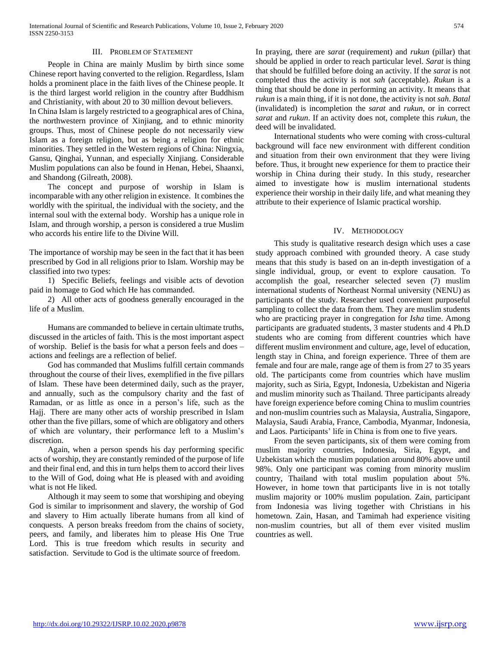#### III. PROBLEM OF STATEMENT

 People in China are mainly Muslim by birth since some Chinese report having converted to the religion. Regardless, Islam holds a prominent place in the faith lives of the Chinese people. It is the third largest world religion in the country after Buddhism and Christianity, with about 20 to 30 million devout believers.

In China Islam is largely restricted to a geographical ares of China, the northwestern province of Xinjiang, and to ethnic minority groups. Thus, most of Chinese people do not necessarily view Islam as a foreign religion, but as being a religion for ethnic minorities. They settled in the Western regions of China: Ningxia, Gansu, Qinghai, Yunnan, and especially Xinjiang. Considerable Muslim populations can also be found in Henan, Hebei, Shaanxi, and Shandong (Gilreath, 2008).

 The concept and purpose of worship in Islam is incomparable with any other religion in existence. It combines the worldly with the spiritual, the individual with the society, and the internal soul with the external body. Worship has a unique role in Islam, and through worship, a person is considered a true Muslim who accords his entire life to the Divine Will.

The importance of worship may be seen in the fact that it has been prescribed by God in all religions prior to Islam. Worship may be classified into two types:

 1) Specific Beliefs, feelings and visible acts of devotion paid in homage to God which He has commanded.

 2) All other acts of goodness generally encouraged in the life of a Muslim.

 Humans are commanded to believe in certain ultimate truths, discussed in the articles of faith. This is the most important aspect of worship. Belief is the basis for what a person feels and does – actions and feelings are a reflection of belief.

 God has commanded that Muslims fulfill certain commands throughout the course of their lives, exemplified in the five pillars of Islam. These have been determined daily, such as the prayer, and annually, such as the compulsory charity and the fast of Ramadan, or as little as once in a person's life, such as the Hajj. There are many other acts of worship prescribed in Islam other than the five pillars, some of which are obligatory and others of which are voluntary, their performance left to a Muslim's discretion.

 Again, when a person spends his day performing specific acts of worship, they are constantly reminded of the purpose of life and their final end, and this in turn helps them to accord their lives to the Will of God, doing what He is pleased with and avoiding what is not He liked.

 Although it may seem to some that worshiping and obeying God is similar to imprisonment and slavery, the worship of God and slavery to Him actually liberate humans from all kind of conquests. A person breaks freedom from the chains of society, peers, and family, and liberates him to please His One True Lord. This is true freedom which results in security and satisfaction. Servitude to God is the ultimate source of freedom.

In praying, there are *sarat* (requirement) and *rukun* (pillar) that should be applied in order to reach particular level. *Sarat* is thing that should be fulfilled before doing an activity. If the *sarat* is not completed thus the activity is not *sah* (acceptable). *Rukun* is a thing that should be done in performing an activity. It means that *rukun* is a main thing, if it is not done, the activity is not *sah*. *Batal* (invalidated) is incompletion the *sarat* and *rukun*, or in correct *sarat* and *rukun*. If an activity does not, complete this *rukun*, the deed will be invalidated.

 International students who were coming with cross-cultural background will face new environment with different condition and situation from their own environment that they were living before. Thus, it brought new experience for them to practice their worship in China during their study. In this study, researcher aimed to investigate how is muslim international students experience their worship in their daily life, and what meaning they attribute to their experience of Islamic practical worship.

#### IV. METHODOLOGY

 This study is qualitative research design which uses a case study approach combined with grounded theory. A case study means that this study is based on an in-depth investigation of a single individual, group, or event to explore causation. To accomplish the goal, researcher selected seven (7) muslim international students of Northeast Normal university (NENU) as participants of the study. Researcher used convenient purposeful sampling to collect the data from them. They are muslim students who are practicing prayer in congregation for *Isha* time. Among participants are graduated students, 3 master students and 4 Ph.D students who are coming from different countries which have different muslim environment and culture, age, level of education, length stay in China, and foreign experience. Three of them are female and four are male, range age of them is from 27 to 35 years old. The participants come from countries which have muslim majority, such as Siria, Egypt, Indonesia, Uzbekistan and Nigeria and muslim minority such as Thailand. Three participants already have foreign experience before coming China to muslim countries and non-muslim countries such as Malaysia, Australia, Singapore, Malaysia, Saudi Arabia, France, Cambodia, Myanmar, Indonesia, and Laos. Participants' life in China is from one to five years.

 From the seven participants, six of them were coming from muslim majority countries, Indonesia, Siria, Egypt, and Uzbekistan which the muslim population around 80% above until 98%. Only one participant was coming from minority muslim country, Thailand with total muslim population about 5%. However, in home town that participants live in is not totally muslim majority or 100% muslim population. Zain, participant from Indonesia was living together with Christians in his hometown. Zain, Hasan, and Tamimah had experience visiting non-muslim countries, but all of them ever visited muslim countries as well.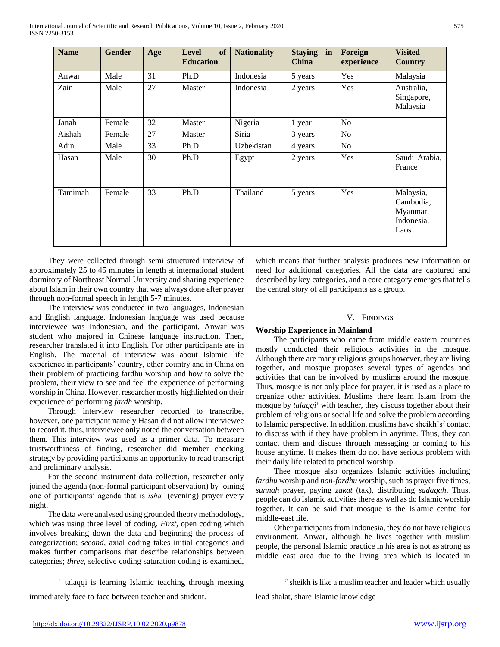| <b>Name</b> | <b>Gender</b> | Age | of<br><b>Level</b><br><b>Education</b> | <b>Nationality</b> | <b>Staying</b><br>in<br>China | Foreign<br>experience | <b>Visited</b><br><b>Country</b>                         |
|-------------|---------------|-----|----------------------------------------|--------------------|-------------------------------|-----------------------|----------------------------------------------------------|
| Anwar       | Male          | 31  | Ph.D                                   | Indonesia          | 5 years                       | Yes                   | Malaysia                                                 |
| Zain        | Male          | 27  | Master                                 | Indonesia          | 2 years                       | Yes                   | Australia,<br>Singapore,<br>Malaysia                     |
| Janah       | Female        | 32  | Master                                 | Nigeria            | 1 year                        | N <sub>o</sub>        |                                                          |
| Aishah      | Female        | 27  | Master                                 | Siria              | 3 years                       | No                    |                                                          |
| Adin        | Male          | 33  | Ph.D                                   | Uzbekistan         | 4 years                       | N <sub>o</sub>        |                                                          |
| Hasan       | Male          | 30  | Ph.D                                   | Egypt              | 2 years                       | Yes                   | Saudi Arabia,<br>France                                  |
| Tamimah     | Female        | 33  | Ph.D                                   | Thailand           | 5 years                       | Yes                   | Malaysia,<br>Cambodia,<br>Myanmar,<br>Indonesia,<br>Laos |

 They were collected through semi structured interview of approximately 25 to 45 minutes in length at international student dormitory of Northeast Normal University and sharing experience about Islam in their own country that was always done after prayer through non-formal speech in length 5-7 minutes.

 The interview was conducted in two languages, Indonesian and English language. Indonesian language was used because interviewee was Indonesian, and the participant, Anwar was student who majored in Chinese language instruction. Then, researcher translated it into English. For other participants are in English. The material of interview was about Islamic life experience in participants' country, other country and in China on their problem of practicing fardhu worship and how to solve the problem, their view to see and feel the experience of performing worship in China. However, researcher mostly highlighted on their experience of performing *fardh* worship.

 Through interview researcher recorded to transcribe, however, one participant namely Hasan did not allow interviewee to record it, thus, interviewee only noted the conversation between them. This interview was used as a primer data. To measure trustworthiness of finding, researcher did member checking strategy by providing participants an opportunity to read transcript and preliminary analysis.

 For the second instrument data collection, researcher only joined the agenda (non-formal participant observation) by joining one of participants' agenda that is *isha'* (evening) prayer every night.

 The data were analysed using grounded theory methodology, which was using three level of coding. *First,* open coding which involves breaking down the data and beginning the process of categorization; *second,* axial coding takes initial categories and makes further comparisons that describe relationships between categories; *three,* selective coding saturation coding is examined,

which means that further analysis produces new information or need for additional categories. All the data are captured and described by key categories, and a core category emerges that tells the central story of all participants as a group.

#### V. FINDINGS

#### **Worship Experience in Mainland**

 The participants who came from middle eastern countries mostly conducted their religious activities in the mosque. Although there are many religious groups however, they are living together, and mosque proposes several types of agendas and activities that can be involved by muslims around the mosque. Thus, mosque is not only place for prayer, it is used as a place to organize other activities. Muslims there learn Islam from the mosque by *talaqqi*<sup>1</sup> with teacher, they discuss together about their problem of religious or social life and solve the problem according to Islamic perspective. In addition, muslims have sheikh's<sup>2</sup> contact to discuss with if they have problem in anytime. Thus, they can contact them and discuss through messaging or coming to his house anytime. It makes them do not have serious problem with their daily life related to practical worship.

 Thee mosque also organizes Islamic activities including *fardhu* worship and *non*-*fardhu* worship, such as prayer five times, *sunnah* prayer, paying *zakat* (tax), distributing *sadaqah*. Thus, people can do Islamic activities there as well as do Islamic worship together. It can be said that mosque is the Islamic centre for middle-east life.

 Other participants from Indonesia, they do not have religious environment. Anwar, although he lives together with muslim people, the personal Islamic practice in his area is not as strong as middle east area due to the living area which is located in

<sup>1</sup> talaqqi is learning Islamic teaching through meeting immediately face to face between teacher and student.

lead shalat, share Islamic knowledge

 $\overline{a}$ 

<sup>&</sup>lt;sup>2</sup> sheikh is like a muslim teacher and leader which usually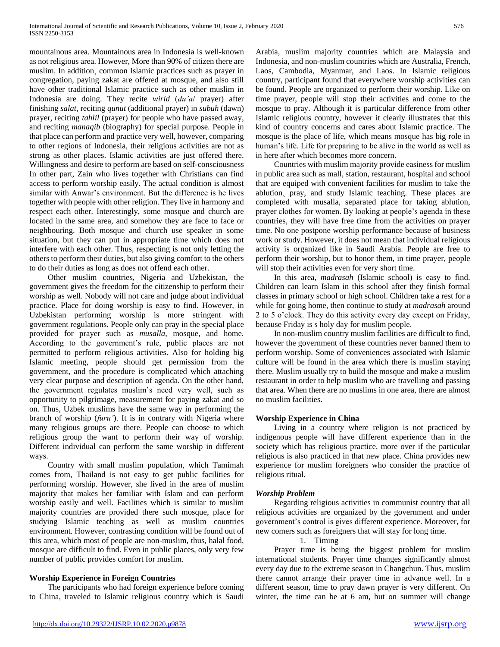mountainous area. Mountainous area in Indonesia is well-known as not religious area. However, More than 90% of citizen there are muslim. In addition¸ common Islamic practices such as prayer in congregation, paying zakat are offered at mosque, and also still have other traditional Islamic practice such as other muslim in Indonesia are doing. They recite *wirid* (*du'a*/ prayer) after finishing *salat*, reciting *qunut* (additional prayer) in *subuh* (dawn) prayer, reciting *tahlil* (prayer) for people who have passed away, and reciting *manaqib* (biography) for special purpose. People in that place can perform and practice very well, however, comparing to other regions of Indonesia, their religious activities are not as strong as other places. Islamic activities are just offered there. Willingness and desire to perform are based on self-consciousness In other part, Zain who lives together with Christians can find access to perform worship easily. The actual condition is almost similar with Anwar's environment. But the difference is he lives together with people with other religion. They live in harmony and respect each other. Interestingly, some mosque and church are located in the same area, and somehow they are face to face or neighbouring. Both mosque and church use speaker in some situation, but they can put in appropriate time which does not interfere with each other. Thus, respecting is not only letting the others to perform their duties, but also giving comfort to the others to do their duties as long as does not offend each other.

 Other muslim countries, Nigeria and Uzbekistan, the government gives the freedom for the citizenship to perform their worship as well. Nobody will not care and judge about individual practice. Place for doing worship is easy to find. However, in Uzbekistan performing worship is more stringent with government regulations. People only can pray in the special place provided for prayer such as *musalla*, mosque, and home. According to the government's rule, public places are not permitted to perform religious activities. Also for holding big Islamic meeting, people should get permission from the government, and the procedure is complicated which attaching very clear purpose and description of agenda. On the other hand, the government regulates muslim's need very well, such as opportunity to pilgrimage, measurement for paying zakat and so on. Thus, Uzbek muslims have the same way in performing the branch of worship (*furu'*). It is in contrary with Nigeria where many religious groups are there. People can choose to which religious group the want to perform their way of worship. Different individual can perform the same worship in different ways.

 Country with small muslim population, which Tamimah comes from, Thailand is not easy to get public facilities for performing worship. However, she lived in the area of muslim majority that makes her familiar with Islam and can perform worship easily and well. Facilities which is similar to muslim majority countries are provided there such mosque, place for studying Islamic teaching as well as muslim countries environment. However, contrasting condition will be found out of this area, which most of people are non-muslim, thus, halal food, mosque are difficult to find. Even in public places, only very few number of public provides comfort for muslim.

# **Worship Experience in Foreign Countries**

 The participants who had foreign experience before coming to China, traveled to Islamic religious country which is Saudi

Arabia, muslim majority countries which are Malaysia and Indonesia, and non-muslim countries which are Australia, French, Laos, Cambodia, Myanmar, and Laos. In Islamic religious country, participant found that everywhere worship activities can be found. People are organized to perform their worship. Like on time prayer, people will stop their activities and come to the mosque to pray. Although it is particular difference from other Islamic religious country, however it clearly illustrates that this kind of country concerns and cares about Islamic practice. The mosque is the place of life, which means mosque has big role in human's life. Life for preparing to be alive in the world as well as in here after which becomes more concern.

 Countries with muslim majority provide easiness for muslim in public area such as mall, station, restaurant, hospital and school that are equiped with convenient facilities for muslim to take the ablution¸ pray, and study Islamic teaching. These places are completed with musalla, separated place for taking ablution, prayer clothes for women. By looking at people's agenda in these countries, they will have free time from the activities on prayer time. No one postpone worship performance because of business work or study. However, it does not mean that individual religious activity is organized like in Saudi Arabia. People are free to perform their worship, but to honor them, in time prayer, people will stop their activities even for very short time.

 In this area, *madrasah* (Islamic school) is easy to find. Children can learn Islam in this school after they finish formal classes in primary school or high school. Children take a rest for a while for going home, then continue to study at *madrasah* around 2 to 5 o'clock. They do this activity every day except on Friday, because Friday is s holy day for muslim people.

 In non-muslim country muslim facilities are difficult to find, however the government of these countries never banned them to perform worship. Some of conveniences associated with Islamic culture will be found in the area which there is muslim staying there. Muslim usually try to build the mosque and make a muslim restaurant in order to help muslim who are travelling and passing that area. When there are no muslims in one area, there are almost no muslim facilities.

#### **Worship Experience in China**

 Living in a country where religion is not practiced by indigenous people will have different experience than in the society which has religious practice, more over if the particular religious is also practiced in that new place. China provides new experience for muslim foreigners who consider the practice of religious ritual.

#### *Worship Problem*

 Regarding religious activities in communist country that all religious activities are organized by the government and under government's control is gives different experience. Moreover, for new comers such as foreigners that will stay for long time.

## 1. Timing

 Prayer time is being the biggest problem for muslim international students. Prayer time changes significantly almost every day due to the extreme season in Changchun. Thus, muslim there cannot arrange their prayer time in advance well. In a different season, time to pray dawn prayer is very different. On winter, the time can be at 6 am, but on summer will change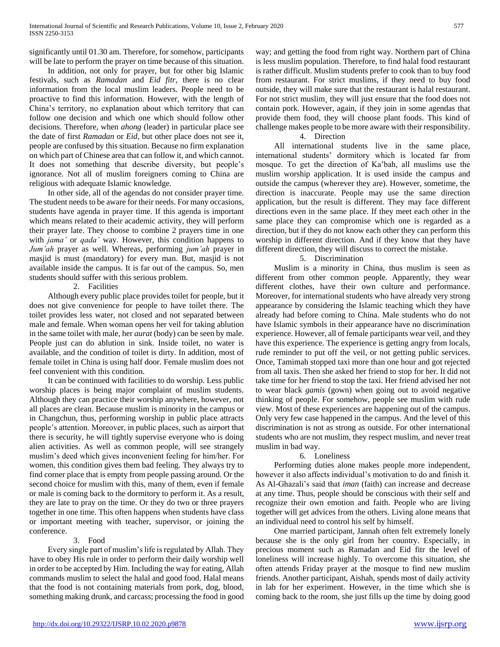significantly until 01.30 am. Therefore, for somehow, participants will be late to perform the prayer on time because of this situation.

 In addition, not only for prayer, but for other big Islamic festivals, such as *Ramadan* and *Eid fitr*, there is no clear information from the local muslim leaders. People need to be proactive to find this information. However, with the length of China's territory, no explanation about which territory that can follow one decision and which one which should follow other decisions. Therefore, when *ahong* (leader) in particular place see the date of first *Ramadan* or *Eid*, but other place does not see it, people are confused by this situation. Because no firm explanation on which part of Chinese area that can follow it, and which cannot. It does not something that describe diversity, but people's ignorance. Not all of muslim foreigners coming to China are religious with adequate Islamic knowledge.

 In other side, all of the agendas do not consider prayer time. The student needs to be aware for their needs. For many occasions, students have agenda in prayer time. If this agenda is important which means related to their academic activity, they will perform their prayer late. They choose to combine 2 prayers time in one with *jama'* or *qada'* way. However, this condition happens to *Jum'ah* prayer as well. Whereas, performing *jum'ah* prayer in masjid is must (mandatory) for every man. But, masjid is not available inside the campus. It is far out of the campus. So, men students should suffer with this serious problem.

## 2. Facilities

 Although every public place provides toilet for people, but it does not give convenience for people to have toilet there. The toilet provides less water, not closed and not separated between male and female. When woman opens her veil for taking ablution in the same toilet with male, her *aurat* (body) can be seen by male. People just can do ablution in sink. Inside toilet, no water is available, and the condition of toilet is dirty. In addition, most of female toilet in China is using half door. Female muslim does not feel convenient with this condition.

 It can be continued with facilities to do worship. Less public worship places is being major complaint of muslim students. Although they can practice their worship anywhere, however, not all places are clean. Because muslim is minority in the campus or in Changchun, thus, performing worship in public place attracts people's attention. Moreover, in public places, such as airport that there is security, he will tightly supervise everyone who is doing alien activities. As well as common people, will see strangely muslim's deed which gives inconvenient feeling for him/her. For women, this condition gives them bad feeling. They always try to find corner place that is empty from people passing around. Or the second choice for muslim with this, many of them, even if female or male is coming back to the dormitory to perform it. As a result, they are late to pray on the time. Or they do two or three prayers together in one time. This often happens when students have class or important meeting with teacher, supervisor, or joining the conference.

#### 3. Food

 Every single part of muslim's life is regulated by Allah. They have to obey His rule in order to perform their daily worship well in order to be accepted by Him. Including the way for eating, Allah commands muslim to select the halal and good food. Halal means that the food is not containing materials from pork, dog, blood, something making drunk, and carcass; processing the food in good way; and getting the food from right way. Northern part of China is less muslim population. Therefore, to find halal food restaurant is rather difficult. Muslim students prefer to cook than to buy food from restaurant. For strict muslims, if they need to buy food outside, they will make sure that the restaurant is halal restaurant. For not strict muslim¸ they will just ensure that the food does not contain pork. However, again, if they join in some agendas that provide them food, they will choose plant foods. This kind of challenge makes people to be more aware with their responsibility.

## 4. Direction

 All international students live in the same place, international students' dormitory which is located far from mosque. To get the direction of Ka'bah, all muslims use the muslim worship application. It is used inside the campus and outside the campus (wherever they are). However, sometime, the direction is inaccurate. People may use the same direction application, but the result is different. They may face different directions even in the same place. If they meet each other in the same place they can compromise which one is regarded as a direction, but if they do not know each other they can perform this worship in different direction. And if they know that they have different direction, they will discuss to correct the mistake.

## 5. Discrimination

 Muslim is a minority in China, thus muslim is seen as different from other common people. Apparently, they wear different clothes, have their own culture and performance. Moreover, for international students who have already very strong appearance by considering the Islamic teaching which they have already had before coming to China. Male students who do not have Islamic symbols in their appearance have no discrimination experience. However, all of female participants wear veil, and they have this experience. The experience is getting angry from locals, rude reminder to put off the veil, or not getting public services. Once, Tamimah stopped taxi more than one hour and got rejected from all taxis. Then she asked her friend to stop for her. It did not take time for her friend to stop the taxi. Her friend advised her not to wear black *gamis* (gown) when going out to avoid negative thinking of people. For somehow, people see muslim with rude view. Most of these experiences are happening out of the campus. Only very few case happened in the campus. And the level of this discrimination is not as strong as outside. For other international students who are not muslim, they respect muslim, and never treat muslim in bad way.

#### 6. Loneliness

 Performing duties alone makes people more independent, however it also affects individual's motivation to do and finish it. As Al-Ghazali's said that *iman* (faith) can increase and decrease at any time. Thus, people should be conscious with their self and recognize their own emotion and faith. People who are living together will get advices from the others. Living alone means that an individual need to control his self by himself.

 One married participant, Jannah often felt extremely lonely because she is the only girl from her country. Especially, in precious moment such as Ramadan and Eid fitr the level of loneliness will increase highly. To overcome this situation, she often attends Friday prayer at the mosque to find new muslim friends. Another participant, Aishah, spends most of daily activity in lab for her experiment. However, in the time which she is coming back to the room, she just fills up the time by doing good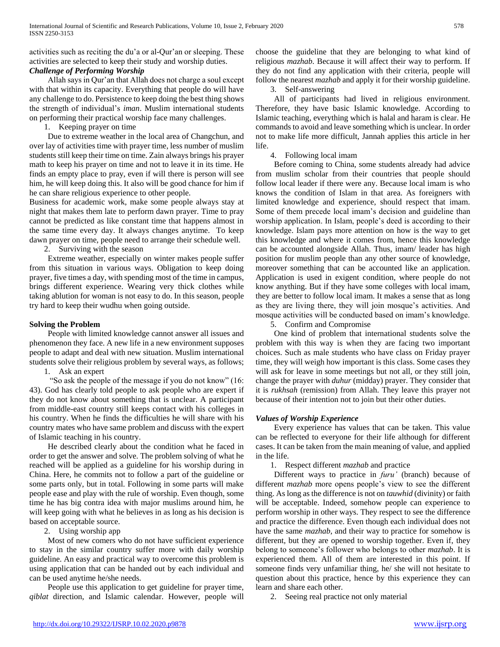activities such as reciting the du'a or al-Qur'an or sleeping. These activities are selected to keep their study and worship duties.

# *Challenge of Performing Worship*

 Allah says in Qur'an that Allah does not charge a soul except with that within its capacity. Everything that people do will have any challenge to do. Persistence to keep doing the best thing shows the strength of individual's *iman*. Muslim international students on performing their practical worship face many challenges.

1. Keeping prayer on time

 Due to extreme weather in the local area of Changchun, and over lay of activities time with prayer time, less number of muslim students still keep their time on time. Zain always brings his prayer math to keep his prayer on time and not to leave it in its time. He finds an empty place to pray, even if will there is person will see him, he will keep doing this. It also will be good chance for him if he can share religious experience to other people.

Business for academic work, make some people always stay at night that makes them late to perform dawn prayer. Time to pray cannot be predicted as like constant time that happens almost in the same time every day. It always changes anytime. To keep dawn prayer on time, people need to arrange their schedule well.

2. Surviving with the season

 Extreme weather, especially on winter makes people suffer from this situation in various ways. Obligation to keep doing prayer, five times a day, with spending most of the time in campus, brings different experience. Wearing very thick clothes while taking ablution for woman is not easy to do. In this season, people try hard to keep their wudhu when going outside.

### **Solving the Problem**

 People with limited knowledge cannot answer all issues and phenomenon they face. A new life in a new environment supposes people to adapt and deal with new situation. Muslim international students solve their religious problem by several ways, as follows;

1. Ask an expert

 "So ask the people of the message if you do not know" (16: 43). God has clearly told people to ask people who are expert if they do not know about something that is unclear. A participant from middle-east country still keeps contact with his colleges in his country. When he finds the difficulties he will share with his country mates who have same problem and discuss with the expert of Islamic teaching in his country.

 He described clearly about the condition what he faced in order to get the answer and solve. The problem solving of what he reached will be applied as a guideline for his worship during in China. Here, he commits not to follow a part of the guideline or some parts only, but in total. Following in some parts will make people ease and play with the rule of worship. Even though, some time he has big contra idea with major muslims around him, he will keep going with what he believes in as long as his decision is based on acceptable source.

# 2. Using worship app

 Most of new comers who do not have sufficient experience to stay in the similar country suffer more with daily worship guideline. An easy and practical way to overcome this problem is using application that can be handed out by each individual and can be used anytime he/she needs.

 People use this application to get guideline for prayer time, *qiblat* direction, and Islamic calendar. However, people will choose the guideline that they are belonging to what kind of religious *mazhab*. Because it will affect their way to perform. If they do not find any application with their criteria, people will follow the nearest *mazhab* and apply it for their worship guideline.

3. Self-answering

 All of participants had lived in religious environment. Therefore, they have basic Islamic knowledge. According to Islamic teaching, everything which is halal and haram is clear. He commands to avoid and leave something which is unclear. In order not to make life more difficult, Jannah applies this article in her life.

# 4. Following local imam

 Before coming to China, some students already had advice from muslim scholar from their countries that people should follow local leader if there were any. Because local imam is who knows the condition of Islam in that area. As foreigners with limited knowledge and experience, should respect that imam. Some of them precede local imam's decision and guideline than worship application. In Islam, people's deed is according to their knowledge. Islam pays more attention on how is the way to get this knowledge and where it comes from, hence this knowledge can be accounted alongside Allah. Thus, imam/ leader has high position for muslim people than any other source of knowledge, moreover something that can be accounted like an application. Application is used in exigent condition, where people do not know anything. But if they have some colleges with local imam, they are better to follow local imam. It makes a sense that as long as they are living there, they will join mosque's activities. And mosque activities will be conducted based on imam's knowledge.

5. Confirm and Compromise

 One kind of problem that international students solve the problem with this way is when they are facing two important choices. Such as male students who have class on Friday prayer time, they will weigh how important is this class. Some cases they will ask for leave in some meetings but not all, or they still join, change the prayer with *duhur* (midday) prayer. They consider that it is *rukhsah* (remission) from Allah. They leave this prayer not because of their intention not to join but their other duties.

# *Values of Worship Experience*

 Every experience has values that can be taken. This value can be reflected to everyone for their life although for different cases. It can be taken from the main meaning of value, and applied in the life.

1. Respect different *mazhab* and practice

 Different ways to practice in *furu'* (branch) because of different *mazhab* more opens people's view to see the different thing. As long as the difference is not on *tauwhid* (divinity) or faith will be acceptable. Indeed, somehow people can experience to perform worship in other ways. They respect to see the difference and practice the difference. Even though each individual does not have the same *mazhab*, and their way to practice for somehow is different, but they are opened to worship together. Even if, they belong to someone's follower who belongs to other *mazhab*. It is experienced them. All of them are interested in this point. If someone finds very unfamiliar thing, he/ she will not hesitate to question about this practice, hence by this experience they can learn and share each other.

2. Seeing real practice not only material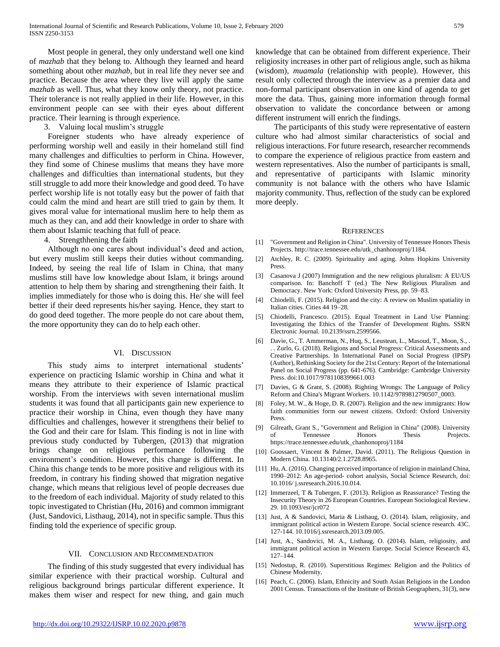Most people in general, they only understand well one kind of *mazhab* that they belong to. Although they learned and heard something about other *mazhab*, but in real life they never see and practice. Because the area where they live will apply the same *mazhab* as well. Thus, what they know only theory, not practice. Their tolerance is not really applied in their life. However, in this environment people can see with their eyes about different practice. Their learning is through experience.

3. Valuing local muslim's struggle

 Foreigner students who have already experience of performing worship well and easily in their homeland still find many challenges and difficulties to perform in China. However, they find some of Chinese muslims that means they have more challenges and difficulties than international students, but they still struggle to add more their knowledge and good deed. To have perfect worship life is not totally easy but the power of faith that could calm the mind and heart are still tried to gain by them. It gives moral value for international muslim here to help them as much as they can, and add their knowledge in order to share with them about Islamic teaching that full of peace.

4. Strengthhening the faith

 Although no one cares about individual's deed and action, but every muslim still keeps their duties without commanding. Indeed, by seeing the real life of Islam in China, that many muslims still have low knowledge about Islam, it brings around attention to help them by sharing and strengthening their faith. It implies immediately for those who is doing this. He/ she will feel better if their deed represents his/her saying. Hence, they start to do good deed together. The more people do not care about them, the more opportunity they can do to help each other.

#### VI. DISCUSSION

 This study aims to interpret international students' experience on practicing Islamic worship in China and what it means they attribute to their experience of Islamic practical worship. From the interviews with seven international muslim students it was found that all participants gain new experience to practice their worship in China, even though they have many difficulties and challenges, however it strengthens their belief to the God and their care for Islam. This finding is not in line with previous study conducted by Tubergen, (2013) that migration brings change on religious performance following the environment's condition. However, this change is different. In China this change tends to be more positive and religious with its freedom, in contrary his finding showed that migration negative change, which means that religious level of people decreases due to the freedom of each individual. Majority of study related to this topic investigated to Christian (Hu, 2016) and common immigrant (Just, Sandovici, Listhaug, 2014), not in specific sample. Thus this finding told the experience of specific group.

#### VII. CONCLUSION AND RECOMMENDATION

 The finding of this study suggested that every individual has similar experience with their practical worship. Cultural and religious background brings particular different experience. It makes them wiser and respect for new thing, and gain much

knowledge that can be obtained from different experience. Their religiosity increases in other part of religious angle, such as hikma (wisdom), *muamala* (relationship with people). However, this result only collected through the interview as a premier data and non-formal participant observation in one kind of agenda to get more the data. Thus, gaining more information through formal observation to validate the concordance between or among different instrument will enrich the findings.

 The participants of this study were representative of eastern culture who had almost similar characteristics of social and religious interactions. For future research, researcher recommends to compare the experience of religious practice from eastern and western representatives. Also the number of participants is small, and representative of participants with Islamic minority community is not balance with the others who have Islamic majority community. Thus, reflection of the study can be explored more deeply.

#### **REFERENCES**

- [1] "Government and Religion in China". University of Tennessee Honors Thesis Projects. http://trace.tennessee.edu/utk\_chanhonoproj/1184.
- [2] Atchley, R. C. (2009). Spirituality and aging. Johns Hopkins University Press.
- [3] Casanova J (2007) Immigration and the new religious pluralism: A EU/US comparison. In: Banchoff T (ed.) The New Religious Pluralism and Democracy. New York: Oxford University Press, pp. 59–83.
- [4] Chiodelli, F. (2015). Religion and the city: A review on Muslim spatiality in Italian cities. Cities 44 19–28.
- [5] Chiodelli, Francesco. (2015). Equal Treatment in Land Use Planning: Investigating the Ethics of the Transfer of Development Rights. SSRN Electronic Journal. 10.2139/ssrn.2599566.
- [6] Davie, G., T. Ammerman, N., Huq, S., Leustean, L., Masoud, T., Moon, S., . . . Zurlo, G. (2018). Religions and Social Progress: Critical Assessments and Creative Partnerships. In International Panel on Social Progress (IPSP) (Author), Rethinking Society for the 21st Century: Report of the International Panel on Social Progress (pp. 641-676). Cambridge: Cambridge University Press. doi:10.1017/9781108399661.003
- [7] Davies, G & Grant, S. (2008). Righting Wrongs: The Language of Policy Reform and China's Migrant Workers. 10.1142/9789812790507\_0003.
- [8] Foley, M. W., & Hoge, D. R. (2007). Religion and the new immigrants: How faith communities form our newest citizens. Oxford: Oxford University Press.
- [9] Gilreath, Grant S., "Government and Religion in China" (2008). University of Tennessee Honors Thesis Projects. https://trace.tennessee.edu/utk\_chanhonoproj/1184
- [10] Goossaert, Vincent & Palmer, David. (2011). The Religious Question in Modern China. 10.13140/2.1.2728.8965.
- [11] Hu, A. (2016). Changing perceived importance of religion in mainland China, 1990–2012: An age-period- cohort analysis, Social Science Research, doi: 10.1016/ j.ssresearch.2016.10.014.
- [12] Immerzeel, T & Tubergen, F. (2013). Religion as Reassurance? Testing the Insecurity Theory in 26 European Countries. European Sociological Review. 29. 10.1093/esr/jcr072
- [13] Just, A & Sandovici, Maria & Listhaug, O. (2014). Islam, religiosity, and immigrant political action in Western Europe. Social science research. 43C. 127-144. 10.1016/j.ssresearch.2013.09.005.
- [14] Just, A., Sandovici, M. A., Listhaug, O. (2014). Islam, religiosity, and immigrant political action in Western Europe. Social Science Research 43, 127–144.
- [15] Nedostup, R. (2010). Superstitious Regimes: Religion and the Politics of Chinese Modernity.
- [16] Peach, C. (2006). Islam, Ethnicity and South Asian Religions in the London 2001 Census. Transactions of the Institute of British Geographers, 31(3), new